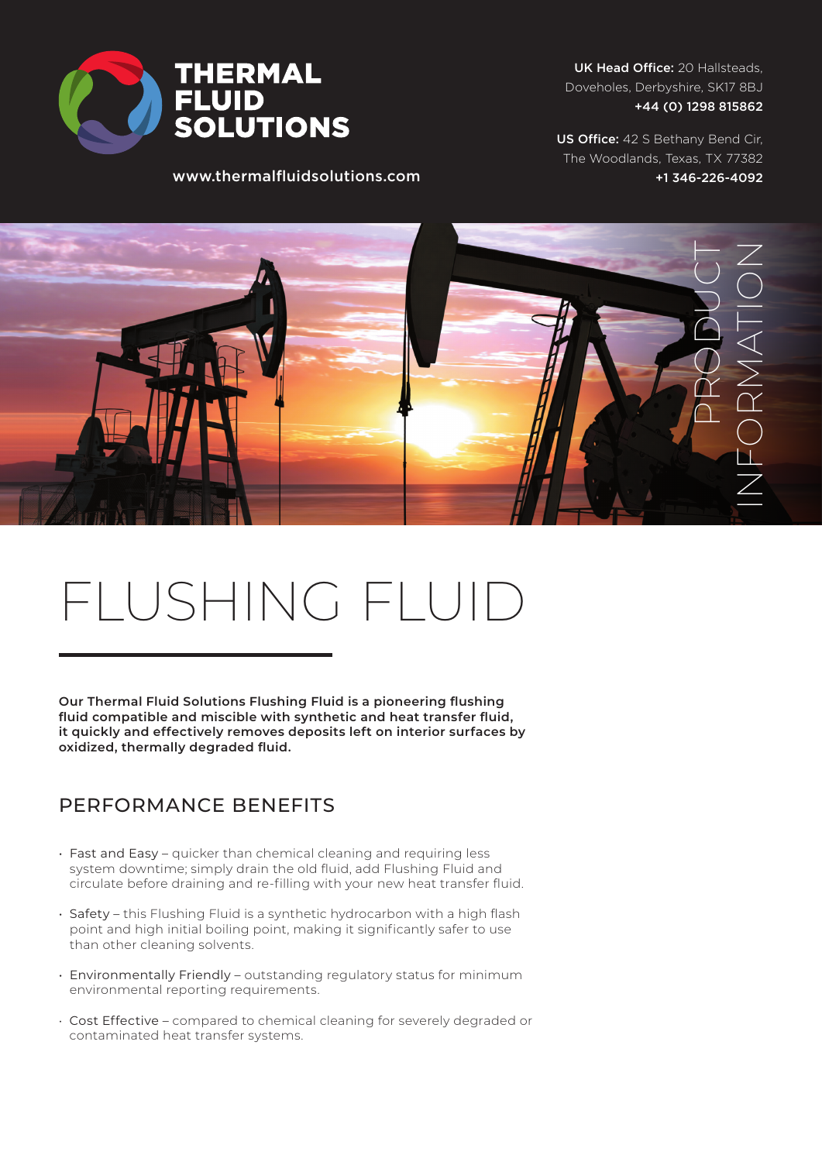

UK Head Office: 20 Hallsteads, Doveholes, Derbyshire, SK17 8BJ +44 (0) 1298 815862

US Office: 42 S Bethany Bend Cir, The Woodlands, Texas, TX 77382 +1 346-226-4092

PRODUCT INFORMATION

## FLUSHING FLUID

www.thermalfluidsolutions.com

**Our Thermal Fluid Solutions Flushing Fluid is a pioneering flushing fluid compatible and miscible with synthetic and heat transfer fluid, it quickly and effectively removes deposits left on interior surfaces by oxidized, thermally degraded fluid.** 

## PERFORMANCE BENEFITS

- Fast and Easy quicker than chemical cleaning and requiring less system downtime; simply drain the old fluid, add Flushing Fluid and circulate before draining and re-filling with your new heat transfer fluid.
- Safety this Flushing Fluid is a synthetic hydrocarbon with a high flash point and high initial boiling point, making it significantly safer to use than other cleaning solvents.
- Environmentally Friendly outstanding regulatory status for minimum environmental reporting requirements.
- Cost Effective compared to chemical cleaning for severely degraded or contaminated heat transfer systems.